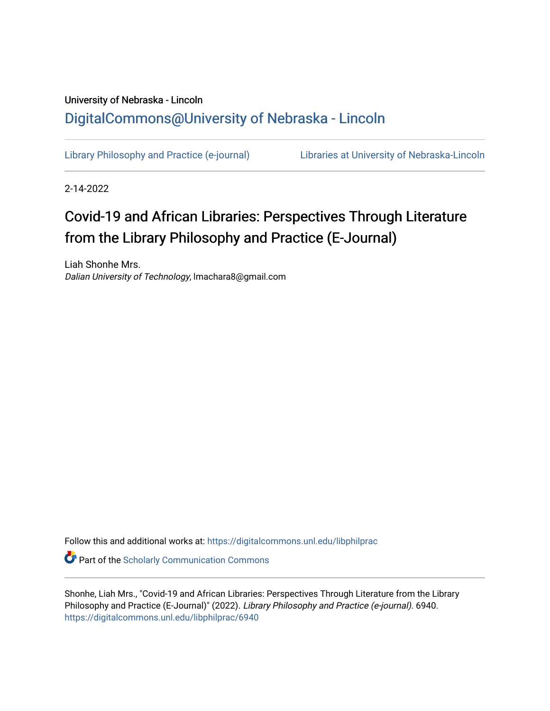## University of Nebraska - Lincoln [DigitalCommons@University of Nebraska - Lincoln](https://digitalcommons.unl.edu/)

[Library Philosophy and Practice \(e-journal\)](https://digitalcommons.unl.edu/libphilprac) [Libraries at University of Nebraska-Lincoln](https://digitalcommons.unl.edu/libraries) 

2-14-2022

# Covid-19 and African Libraries: Perspectives Through Literature from the Library Philosophy and Practice (E-Journal)

Liah Shonhe Mrs. Dalian University of Technology, lmachara8@gmail.com

Follow this and additional works at: [https://digitalcommons.unl.edu/libphilprac](https://digitalcommons.unl.edu/libphilprac?utm_source=digitalcommons.unl.edu%2Flibphilprac%2F6940&utm_medium=PDF&utm_campaign=PDFCoverPages) 

**C** Part of the Scholarly Communication Commons

Shonhe, Liah Mrs., "Covid-19 and African Libraries: Perspectives Through Literature from the Library Philosophy and Practice (E-Journal)" (2022). Library Philosophy and Practice (e-journal). 6940. [https://digitalcommons.unl.edu/libphilprac/6940](https://digitalcommons.unl.edu/libphilprac/6940?utm_source=digitalcommons.unl.edu%2Flibphilprac%2F6940&utm_medium=PDF&utm_campaign=PDFCoverPages)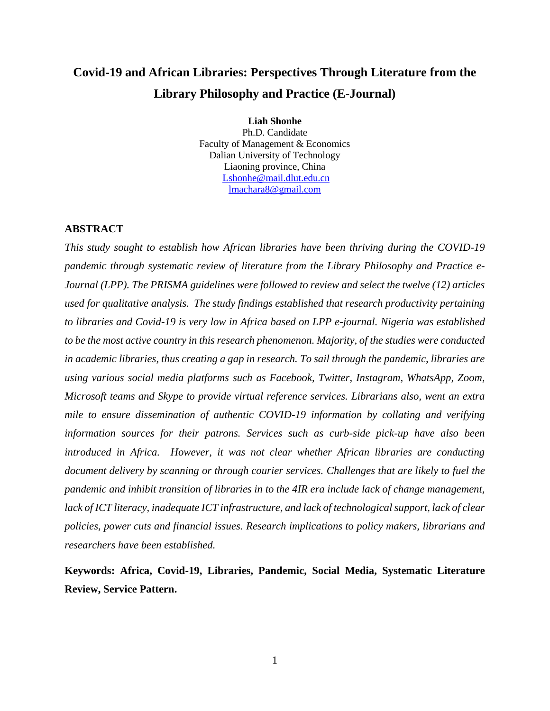## **Covid-19 and African Libraries: Perspectives Through Literature from the Library Philosophy and Practice (E-Journal)**

**Liah Shonhe** Ph.D. Candidate Faculty of Management & Economics Dalian University of Technology Liaoning province, China [Lshonhe@mail.dlut.edu.cn](mailto:Lshonhe@mail.dlut.edu.cn) [lmachara8@gmail.com](mailto:lmachara8@gmail.com)

## **ABSTRACT**

*This study sought to establish how African libraries have been thriving during the COVID-19 pandemic through systematic review of literature from the Library Philosophy and Practice e-Journal (LPP). The PRISMA guidelines were followed to review and select the twelve (12) articles used for qualitative analysis. The study findings established that research productivity pertaining to libraries and Covid-19 is very low in Africa based on LPP e-journal. Nigeria was established to be the most active country in this research phenomenon. Majority, of the studies were conducted in academic libraries, thus creating a gap in research. To sail through the pandemic, libraries are using various social media platforms such as Facebook, Twitter, Instagram, WhatsApp, Zoom, Microsoft teams and Skype to provide virtual reference services. Librarians also, went an extra mile to ensure dissemination of authentic COVID-19 information by collating and verifying information sources for their patrons. Services such as curb-side pick-up have also been introduced in Africa. However, it was not clear whether African libraries are conducting document delivery by scanning or through courier services. Challenges that are likely to fuel the pandemic and inhibit transition of libraries in to the 4IR era include lack of change management, lack of ICT literacy, inadequate ICT infrastructure, and lack of technological support, lack of clear policies, power cuts and financial issues. Research implications to policy makers, librarians and researchers have been established.* 

**Keywords: Africa, Covid-19, Libraries, Pandemic, Social Media, Systematic Literature Review, Service Pattern.**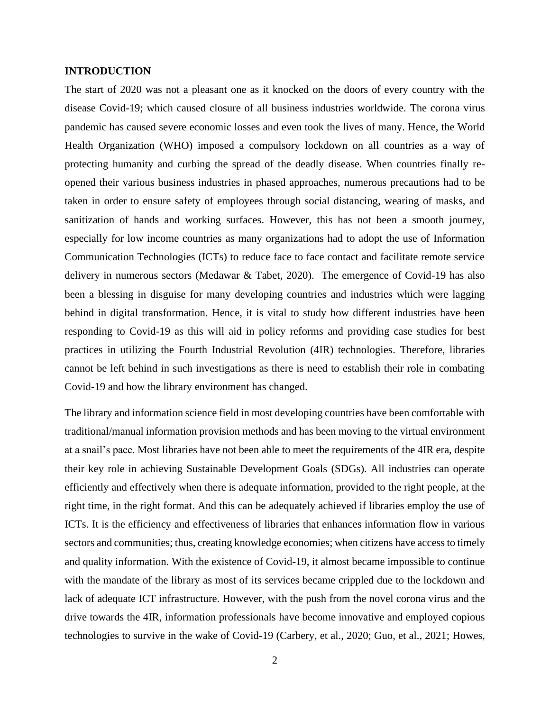## **INTRODUCTION**

The start of 2020 was not a pleasant one as it knocked on the doors of every country with the disease Covid-19; which caused closure of all business industries worldwide. The corona virus pandemic has caused severe economic losses and even took the lives of many. Hence, the World Health Organization (WHO) imposed a compulsory lockdown on all countries as a way of protecting humanity and curbing the spread of the deadly disease. When countries finally reopened their various business industries in phased approaches, numerous precautions had to be taken in order to ensure safety of employees through social distancing, wearing of masks, and sanitization of hands and working surfaces. However, this has not been a smooth journey, especially for low income countries as many organizations had to adopt the use of Information Communication Technologies (ICTs) to reduce face to face contact and facilitate remote service delivery in numerous sectors (Medawar & Tabet, 2020). The emergence of Covid-19 has also been a blessing in disguise for many developing countries and industries which were lagging behind in digital transformation. Hence, it is vital to study how different industries have been responding to Covid-19 as this will aid in policy reforms and providing case studies for best practices in utilizing the Fourth Industrial Revolution (4IR) technologies. Therefore, libraries cannot be left behind in such investigations as there is need to establish their role in combating Covid-19 and how the library environment has changed.

The library and information science field in most developing countries have been comfortable with traditional/manual information provision methods and has been moving to the virtual environment at a snail's pace. Most libraries have not been able to meet the requirements of the 4IR era, despite their key role in achieving Sustainable Development Goals (SDGs). All industries can operate efficiently and effectively when there is adequate information, provided to the right people, at the right time, in the right format. And this can be adequately achieved if libraries employ the use of ICTs. It is the efficiency and effectiveness of libraries that enhances information flow in various sectors and communities; thus, creating knowledge economies; when citizens have access to timely and quality information. With the existence of Covid-19, it almost became impossible to continue with the mandate of the library as most of its services became crippled due to the lockdown and lack of adequate ICT infrastructure. However, with the push from the novel corona virus and the drive towards the 4IR, information professionals have become innovative and employed copious technologies to survive in the wake of Covid-19 (Carbery, et al., 2020; Guo, et al., 2021; Howes,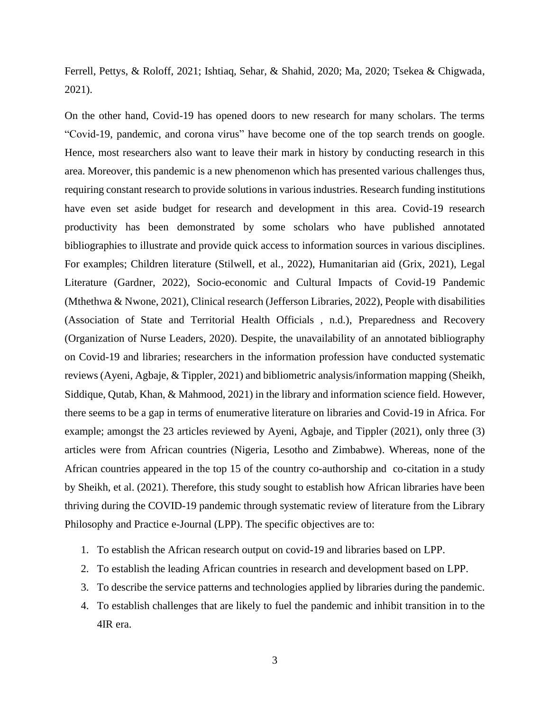Ferrell, Pettys, & Roloff, 2021; Ishtiaq, Sehar, & Shahid, 2020; Ma, 2020; Tsekea & Chigwada, 2021).

On the other hand, Covid-19 has opened doors to new research for many scholars. The terms "Covid-19, pandemic, and corona virus" have become one of the top search trends on google. Hence, most researchers also want to leave their mark in history by conducting research in this area. Moreover, this pandemic is a new phenomenon which has presented various challenges thus, requiring constant research to provide solutions in various industries. Research funding institutions have even set aside budget for research and development in this area. Covid-19 research productivity has been demonstrated by some scholars who have published annotated bibliographies to illustrate and provide quick access to information sources in various disciplines. For examples; Children literature (Stilwell, et al., 2022), Humanitarian aid (Grix, 2021), Legal Literature (Gardner, 2022), Socio-economic and Cultural Impacts of Covid-19 Pandemic (Mthethwa & Nwone, 2021), Clinical research (Jefferson Libraries, 2022), People with disabilities (Association of State and Territorial Health Officials , n.d.), Preparedness and Recovery (Organization of Nurse Leaders, 2020). Despite, the unavailability of an annotated bibliography on Covid-19 and libraries; researchers in the information profession have conducted systematic reviews (Ayeni, Agbaje, & Tippler, 2021) and bibliometric analysis/information mapping (Sheikh, Siddique, Qutab, Khan, & Mahmood, 2021) in the library and information science field. However, there seems to be a gap in terms of enumerative literature on libraries and Covid-19 in Africa. For example; amongst the 23 articles reviewed by Ayeni, Agbaje, and Tippler (2021), only three (3) articles were from African countries (Nigeria, Lesotho and Zimbabwe). Whereas, none of the African countries appeared in the top 15 of the country co-authorship and co-citation in a study by Sheikh, et al. (2021). Therefore, this study sought to establish how African libraries have been thriving during the COVID-19 pandemic through systematic review of literature from the Library Philosophy and Practice e-Journal (LPP). The specific objectives are to:

- 1. To establish the African research output on covid-19 and libraries based on LPP.
- 2. To establish the leading African countries in research and development based on LPP.
- 3. To describe the service patterns and technologies applied by libraries during the pandemic.
- 4. To establish challenges that are likely to fuel the pandemic and inhibit transition in to the 4IR era.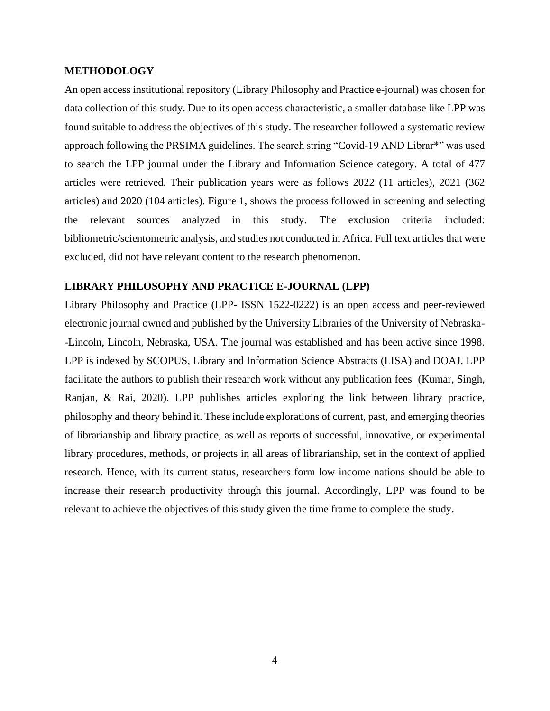## **METHODOLOGY**

An open access institutional repository (Library Philosophy and Practice e-journal) was chosen for data collection of this study. Due to its open access characteristic, a smaller database like LPP was found suitable to address the objectives of this study. The researcher followed a systematic review approach following the PRSIMA guidelines. The search string "Covid-19 AND Librar\*" was used to search the LPP journal under the Library and Information Science category. A total of 477 articles were retrieved. Their publication years were as follows 2022 (11 articles), 2021 (362 articles) and 2020 (104 articles). Figure 1, shows the process followed in screening and selecting the relevant sources analyzed in this study. The exclusion criteria included: bibliometric/scientometric analysis, and studies not conducted in Africa. Full text articles that were excluded, did not have relevant content to the research phenomenon.

## **LIBRARY PHILOSOPHY AND PRACTICE E-JOURNAL (LPP)**

Library Philosophy and Practice (LPP- ISSN 1522-0222) is an open access and peer-reviewed electronic journal owned and published by the University Libraries of the University of Nebraska- -Lincoln, Lincoln, Nebraska, USA. The journal was established and has been active since 1998. LPP is indexed by SCOPUS, Library and Information Science Abstracts (LISA) and DOAJ. LPP facilitate the authors to publish their research work without any publication fees (Kumar, Singh, Ranjan, & Rai, 2020). LPP publishes articles exploring the link between library practice, philosophy and theory behind it. These include explorations of current, past, and emerging theories of librarianship and library practice, as well as reports of successful, innovative, or experimental library procedures, methods, or projects in all areas of librarianship, set in the context of applied research. Hence, with its current status, researchers form low income nations should be able to increase their research productivity through this journal. Accordingly, LPP was found to be relevant to achieve the objectives of this study given the time frame to complete the study.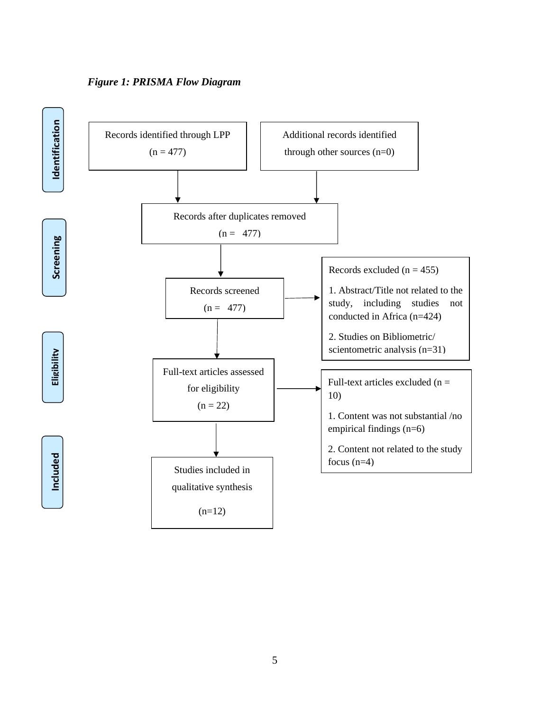

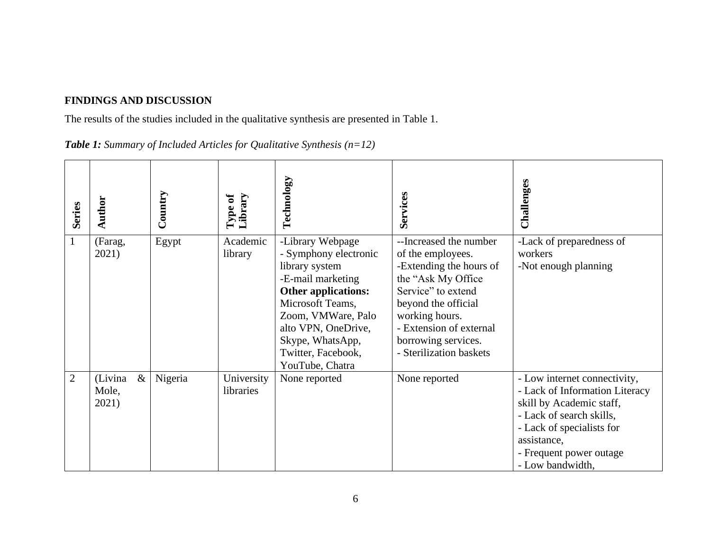## **FINDINGS AND DISCUSSION**

The results of the studies included in the qualitative synthesis are presented in Table 1.

| <b>Table 1:</b> Summary of Included Articles for Qualitative Synthesis $(n=12)$ |  |  |
|---------------------------------------------------------------------------------|--|--|
|---------------------------------------------------------------------------------|--|--|

| Series         | Author                            | Country | ð<br>Library<br>Type    | Technology                                                                                                                                                                                                                            | Services                                                                                                                                                                                                                                  | Challenges                                                                                                                                                                                                        |
|----------------|-----------------------------------|---------|-------------------------|---------------------------------------------------------------------------------------------------------------------------------------------------------------------------------------------------------------------------------------|-------------------------------------------------------------------------------------------------------------------------------------------------------------------------------------------------------------------------------------------|-------------------------------------------------------------------------------------------------------------------------------------------------------------------------------------------------------------------|
| $\mathbf{1}$   | (Farag,<br>2021)                  | Egypt   | Academic<br>library     | -Library Webpage<br>- Symphony electronic<br>library system<br>-E-mail marketing<br>Other applications:<br>Microsoft Teams,<br>Zoom, VMWare, Palo<br>alto VPN, OneDrive,<br>Skype, WhatsApp,<br>Twitter, Facebook,<br>YouTube, Chatra | --Increased the number<br>of the employees.<br>-Extending the hours of<br>the "Ask My Office"<br>Service" to extend<br>beyond the official<br>working hours.<br>- Extension of external<br>borrowing services.<br>- Sterilization baskets | -Lack of preparedness of<br>workers<br>-Not enough planning                                                                                                                                                       |
| $\overline{2}$ | (Livina<br>$\&$<br>Mole,<br>2021) | Nigeria | University<br>libraries | None reported                                                                                                                                                                                                                         | None reported                                                                                                                                                                                                                             | - Low internet connectivity,<br>- Lack of Information Literacy<br>skill by Academic staff,<br>- Lack of search skills,<br>- Lack of specialists for<br>assistance,<br>- Frequent power outage<br>- Low bandwidth, |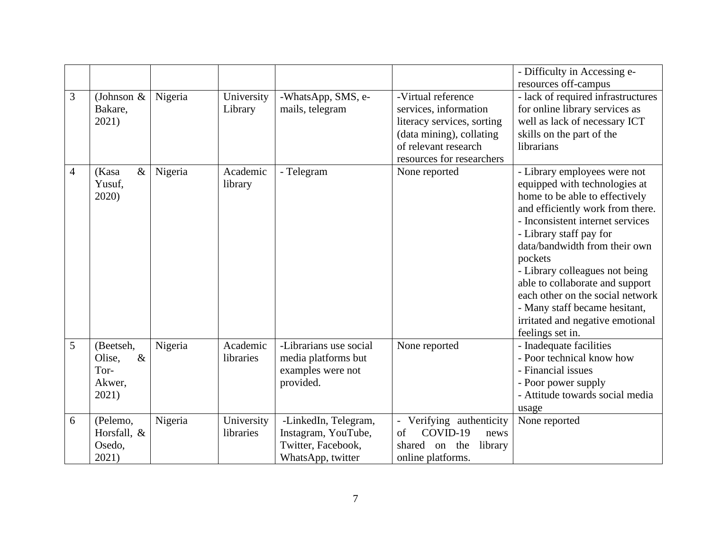|                |                |         |            |                        |                             | - Difficulty in Accessing e-       |
|----------------|----------------|---------|------------|------------------------|-----------------------------|------------------------------------|
|                |                |         |            |                        |                             | resources off-campus               |
| 3              | (Johnson $\&$  | Nigeria | University | -WhatsApp, SMS, e-     | -Virtual reference          | - lack of required infrastructures |
|                | Bakare,        |         | Library    | mails, telegram        | services, information       | for online library services as     |
|                | 2021)          |         |            |                        | literacy services, sorting  | well as lack of necessary ICT      |
|                |                |         |            |                        | (data mining), collating    | skills on the part of the          |
|                |                |         |            |                        | of relevant research        | librarians                         |
|                |                |         |            |                        | resources for researchers   |                                    |
| $\overline{4}$ | $\&$<br>(Kasa  | Nigeria | Academic   | - Telegram             | None reported               | - Library employees were not       |
|                | Yusuf,         |         | library    |                        |                             | equipped with technologies at      |
|                | 2020)          |         |            |                        |                             | home to be able to effectively     |
|                |                |         |            |                        |                             | and efficiently work from there.   |
|                |                |         |            |                        |                             | - Inconsistent internet services   |
|                |                |         |            |                        |                             | - Library staff pay for            |
|                |                |         |            |                        |                             | data/bandwidth from their own      |
|                |                |         |            |                        |                             | pockets                            |
|                |                |         |            |                        |                             | - Library colleagues not being     |
|                |                |         |            |                        |                             | able to collaborate and support    |
|                |                |         |            |                        |                             | each other on the social network   |
|                |                |         |            |                        |                             | - Many staff became hesitant,      |
|                |                |         |            |                        |                             | irritated and negative emotional   |
|                |                |         |            |                        |                             | feelings set in.                   |
| 5              | (Beetseh,      | Nigeria | Academic   | -Librarians use social | None reported               | - Inadequate facilities            |
|                | Olise,<br>$\&$ |         | libraries  | media platforms but    |                             | - Poor technical know how          |
|                | Tor-           |         |            | examples were not      |                             | - Financial issues                 |
|                | Akwer,         |         |            | provided.              |                             | - Poor power supply                |
|                | 2021)          |         |            |                        |                             | - Attitude towards social media    |
|                |                |         |            |                        |                             | usage                              |
| 6              | (Pelemo,       | Nigeria | University | -LinkedIn, Telegram,   | Verifying authenticity      | None reported                      |
|                | Horsfall, &    |         | libraries  | Instagram, YouTube,    | COVID-19<br>of<br>news      |                                    |
|                | Osedo,         |         |            | Twitter, Facebook,     | shared<br>on the<br>library |                                    |
|                | 2021)          |         |            | WhatsApp, twitter      | online platforms.           |                                    |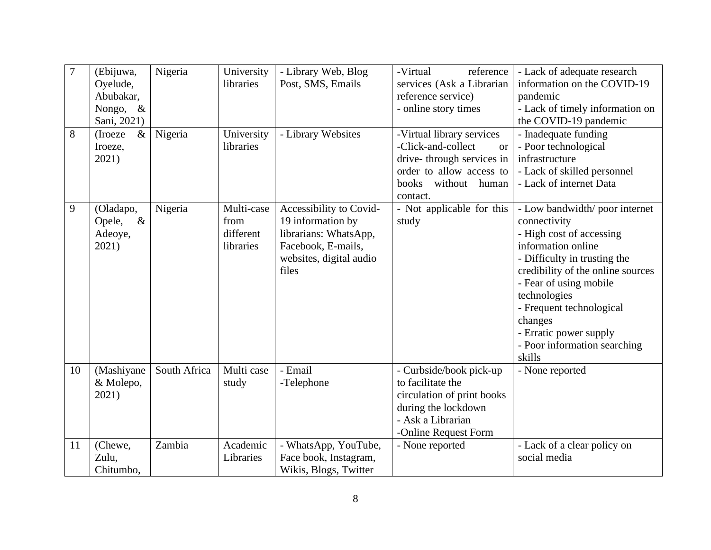| $\overline{7}$ | (Ebijuwa,       | Nigeria      | University | - Library Web, Blog     | -Virtual<br>reference           | - Lack of adequate research       |
|----------------|-----------------|--------------|------------|-------------------------|---------------------------------|-----------------------------------|
|                | Oyelude,        |              | libraries  | Post, SMS, Emails       | services (Ask a Librarian       | information on the COVID-19       |
|                | Abubakar,       |              |            |                         | reference service)              | pandemic                          |
|                | Nongo, &        |              |            |                         | - online story times            | - Lack of timely information on   |
|                | Sani, 2021)     |              |            |                         |                                 | the COVID-19 pandemic             |
| 8              | $\&$<br>(Iroeze | Nigeria      | University | - Library Websites      | -Virtual library services       | - Inadequate funding              |
|                | Iroeze,         |              | libraries  |                         | -Click-and-collect<br><b>or</b> | - Poor technological              |
|                | 2021)           |              |            |                         | drive-through services in       | infrastructure                    |
|                |                 |              |            |                         | order to allow access to        | - Lack of skilled personnel       |
|                |                 |              |            |                         | books<br>without human          | - Lack of internet Data           |
|                |                 |              |            |                         | contact.                        |                                   |
| 9              | (Oladapo,       | Nigeria      | Multi-case | Accessibility to Covid- | - Not applicable for this       | - Low bandwidth/ poor internet    |
|                | $\&$<br>Opele,  |              | from       | 19 information by       | study                           | connectivity                      |
|                | Adeoye,         |              | different  | librarians: WhatsApp,   |                                 | - High cost of accessing          |
|                | 2021)           |              | libraries  | Facebook, E-mails,      |                                 | information online                |
|                |                 |              |            | websites, digital audio |                                 | - Difficulty in trusting the      |
|                |                 |              |            | files                   |                                 | credibility of the online sources |
|                |                 |              |            |                         |                                 | - Fear of using mobile            |
|                |                 |              |            |                         |                                 | technologies                      |
|                |                 |              |            |                         |                                 | - Frequent technological          |
|                |                 |              |            |                         |                                 | changes                           |
|                |                 |              |            |                         |                                 | - Erratic power supply            |
|                |                 |              |            |                         |                                 | - Poor information searching      |
|                |                 |              |            |                         |                                 | skills                            |
| 10             | (Mashiyane      | South Africa | Multi case | - Email                 | - Curbside/book pick-up         | - None reported                   |
|                | & Molepo,       |              | study      | -Telephone              | to facilitate the               |                                   |
|                | 2021)           |              |            |                         | circulation of print books      |                                   |
|                |                 |              |            |                         | during the lockdown             |                                   |
|                |                 |              |            |                         | - Ask a Librarian               |                                   |
|                |                 |              |            |                         | -Online Request Form            |                                   |
| 11             | (Chewe,         | Zambia       | Academic   | - WhatsApp, YouTube,    | - None reported                 | - Lack of a clear policy on       |
|                | Zulu,           |              | Libraries  | Face book, Instagram,   |                                 | social media                      |
|                | Chitumbo,       |              |            | Wikis, Blogs, Twitter   |                                 |                                   |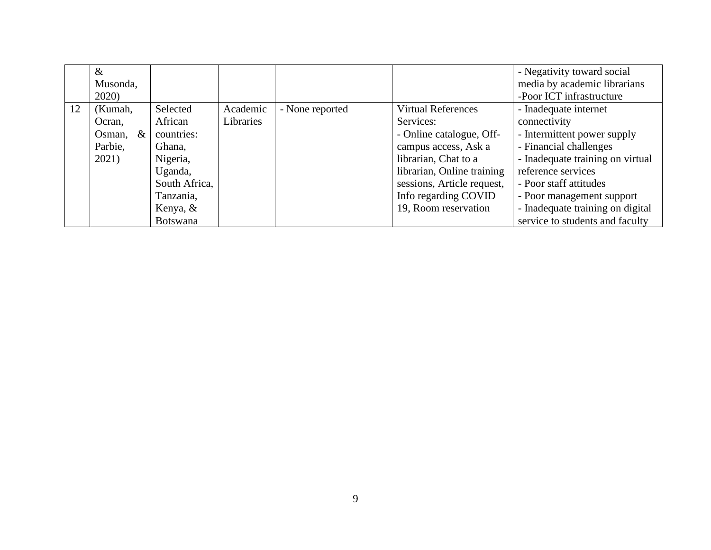|    | $\&$               |                 |           |                 |                            | - Negativity toward social       |
|----|--------------------|-----------------|-----------|-----------------|----------------------------|----------------------------------|
|    | Musonda,           |                 |           |                 |                            | media by academic librarians     |
|    | 2020)              |                 |           |                 |                            | -Poor ICT infrastructure         |
| 12 | (Kumah,            | Selected        | Academic  | - None reported | <b>Virtual References</b>  | - Inadequate internet            |
|    | Ocran,             | African         | Libraries |                 | Services:                  | connectivity                     |
|    | $\alpha$<br>Osman, | countries:      |           |                 | - Online catalogue, Off-   | - Intermittent power supply      |
|    | Parbie,            | Ghana,          |           |                 | campus access, Ask a       | - Financial challenges           |
|    | 2021)              | Nigeria,        |           |                 | librarian, Chat to a       | - Inadequate training on virtual |
|    |                    | Uganda,         |           |                 | librarian, Online training | reference services               |
|    |                    | South Africa,   |           |                 | sessions, Article request, | - Poor staff attitudes           |
|    |                    | Tanzania,       |           |                 | Info regarding COVID       | - Poor management support        |
|    |                    | Kenya, &        |           |                 | 19, Room reservation       | - Inadequate training on digital |
|    |                    | <b>Botswana</b> |           |                 |                            | service to students and faculty  |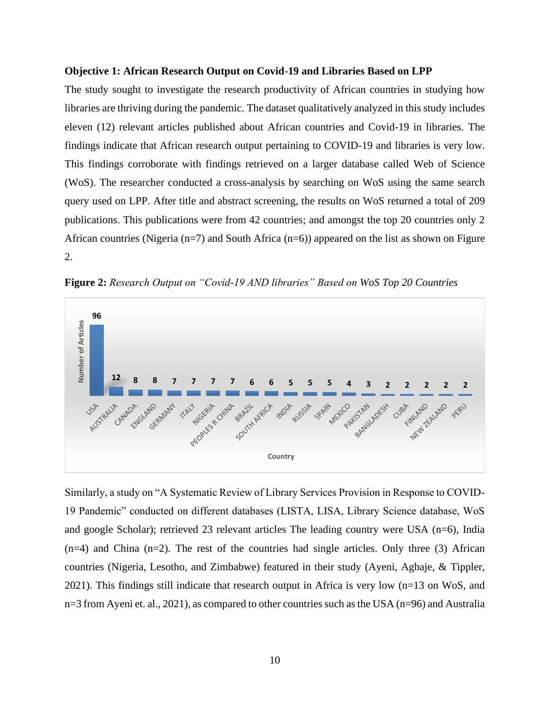#### **Objective 1: African Research Output on Covid-19 and Libraries Based on LPP**

The study sought to investigate the research productivity of African countries in studying how libraries are thriving during the pandemic. The dataset qualitatively analyzed in this study includes eleven (12) relevant articles published about African countries and Covid-19 in libraries. The findings indicate that African research output pertaining to COVID-19 and libraries is very low. This findings corroborate with findings retrieved on a larger database called Web of Science (WoS). The researcher conducted a cross-analysis by searching on WoS using the same search query used on LPP. After title and abstract screening, the results on WoS returned a total of 209 publications. This publications were from 42 countries; and amongst the top 20 countries only 2 African countries (Nigeria ( $n=7$ ) and South Africa ( $n=6$ )) appeared on the list as shown on Figure 2.



**Figure 2:** *Research Output on "Covid-19 AND libraries" Based on WoS Top 20 Countries*

Similarly, a study on "A Systematic Review of Library Services Provision in Response to COVID-19 Pandemic" conducted on different databases (LISTA, LISA, Library Science database, WoS and google Scholar); retrieved 23 relevant articles The leading country were USA (n=6), India  $(n=4)$  and China  $(n=2)$ . The rest of the countries had single articles. Only three (3) African countries (Nigeria, Lesotho, and Zimbabwe) featured in their study (Ayeni, Agbaje, & Tippler, 2021). This findings still indicate that research output in Africa is very low (n=13 on WoS, and n=3 from Ayeni et. al., 2021), as compared to other countries such as the USA (n=96) and Australia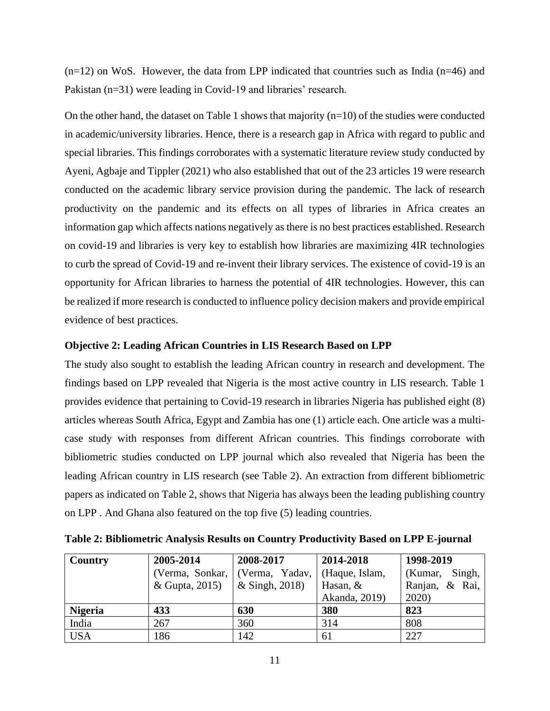$(n=12)$  on WoS. However, the data from LPP indicated that countries such as India  $(n=46)$  and Pakistan (n=31) were leading in Covid-19 and libraries' research.

On the other hand, the dataset on Table 1 shows that majority  $(n=10)$  of the studies were conducted in academic/university libraries. Hence, there is a research gap in Africa with regard to public and special libraries. This findings corroborates with a systematic literature review study conducted by Ayeni, Agbaje and Tippler (2021) who also established that out of the 23 articles 19 were research conducted on the academic library service provision during the pandemic. The lack of research productivity on the pandemic and its effects on all types of libraries in Africa creates an information gap which affects nations negatively as there is no best practices established. Research on covid-19 and libraries is very key to establish how libraries are maximizing 4IR technologies to curb the spread of Covid-19 and re-invent their library services. The existence of covid-19 is an opportunity for African libraries to harness the potential of 4IR technologies. However, this can be realized if more research is conducted to influence policy decision makers and provide empirical evidence of best practices.

## **Objective 2: Leading African Countries in LIS Research Based on LPP**

The study also sought to establish the leading African country in research and development. The findings based on LPP revealed that Nigeria is the most active country in LIS research. Table 1 provides evidence that pertaining to Covid-19 research in libraries Nigeria has published eight (8) articles whereas South Africa, Egypt and Zambia has one (1) article each. One article was a multicase study with responses from different African countries. This findings corroborate with bibliometric studies conducted on LPP journal which also revealed that Nigeria has been the leading African country in LIS research (see Table 2). An extraction from different bibliometric papers as indicated on Table 2, shows that Nigeria has always been the leading publishing country on LPP . And Ghana also featured on the top five (5) leading countries.

| <b>Country</b> | 2005-2014       | 2008-2017                       | 2014-2018     | 1998-2019         |
|----------------|-----------------|---------------------------------|---------------|-------------------|
|                | (Verma, Sonkar, | (Verma, Yadav,   (Haque, Islam, |               | Singh,<br>(Kumar, |
|                | & Gupta, 2015)  | $&$ Singh, 2018)                | Hasan, &      | Ranjan, & Rai,    |
|                |                 |                                 | Akanda, 2019) | 2020)             |
| <b>Nigeria</b> | 433             | 630                             | 380           | 823               |
| India          | 267             | 360                             | 314           | 808               |
| <b>USA</b>     | 186             | 142                             | 61            | 227               |

**Table 2: Bibliometric Analysis Results on Country Productivity Based on LPP E-journal**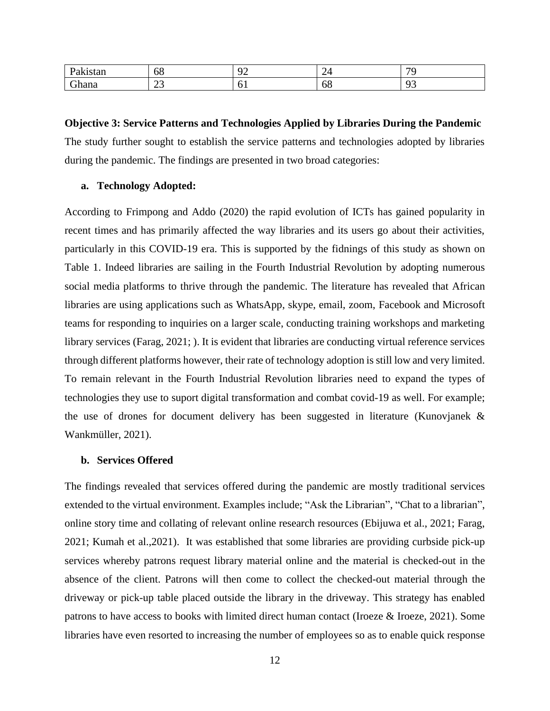| \k1Stan         | $\epsilon$<br><b>L</b><br>00 | $\Omega$     | -                | $\overline{r}$ |
|-----------------|------------------------------|--------------|------------------|----------------|
| $\sim$<br>ihana | $\sim$<br>ت<br>$\sim$        | ◡▴<br>$\sim$ | - -<br><b>UQ</b> | $\sim$         |

**Objective 3: Service Patterns and Technologies Applied by Libraries During the Pandemic** The study further sought to establish the service patterns and technologies adopted by libraries during the pandemic. The findings are presented in two broad categories:

## **a. Technology Adopted:**

According to Frimpong and Addo (2020) the rapid evolution of ICTs has gained popularity in recent times and has primarily affected the way libraries and its users go about their activities, particularly in this COVID-19 era. This is supported by the fidnings of this study as shown on Table 1. Indeed libraries are sailing in the Fourth Industrial Revolution by adopting numerous social media platforms to thrive through the pandemic. The literature has revealed that African libraries are using applications such as WhatsApp, skype, email, zoom, Facebook and Microsoft teams for responding to inquiries on a larger scale, conducting training workshops and marketing library services (Farag, 2021; ). It is evident that libraries are conducting virtual reference services through different platforms however, their rate of technology adoption is still low and very limited. To remain relevant in the Fourth Industrial Revolution libraries need to expand the types of technologies they use to suport digital transformation and combat covid-19 as well. For example; the use of drones for document delivery has been suggested in literature (Kunovjanek & Wankmüller, 2021).

## **b. Services Offered**

The findings revealed that services offered during the pandemic are mostly traditional services extended to the virtual environment. Examples include; "Ask the Librarian", "Chat to a librarian", online story time and collating of relevant online research resources (Ebijuwa et al., 2021; Farag, 2021; Kumah et al.,2021). It was established that some libraries are providing curbside pick-up services whereby patrons request library material online and the material is checked-out in the absence of the client. Patrons will then come to collect the checked-out material through the driveway or pick-up table placed outside the library in the driveway. This strategy has enabled patrons to have access to books with limited direct human contact (Iroeze  $\&$  Iroeze, 2021). Some libraries have even resorted to increasing the number of employees so as to enable quick response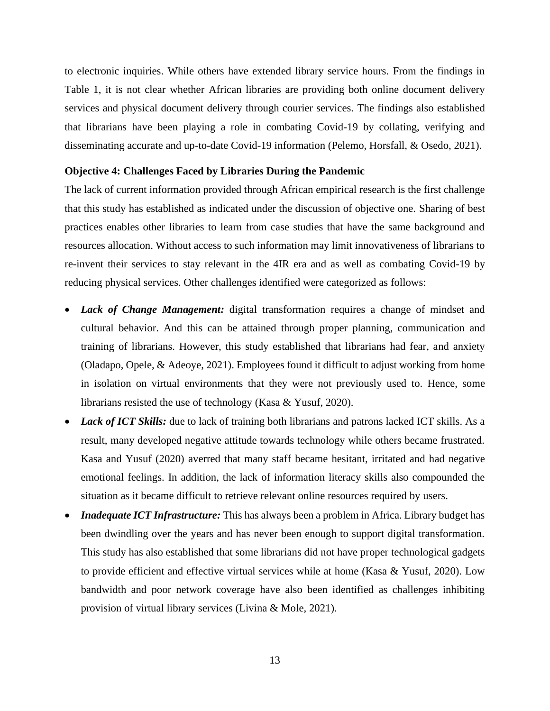to electronic inquiries. While others have extended library service hours. From the findings in Table 1, it is not clear whether African libraries are providing both online document delivery services and physical document delivery through courier services. The findings also established that librarians have been playing a role in combating Covid-19 by collating, verifying and disseminating accurate and up-to-date Covid-19 information (Pelemo, Horsfall, & Osedo, 2021).

### **Objective 4: Challenges Faced by Libraries During the Pandemic**

The lack of current information provided through African empirical research is the first challenge that this study has established as indicated under the discussion of objective one. Sharing of best practices enables other libraries to learn from case studies that have the same background and resources allocation. Without access to such information may limit innovativeness of librarians to re-invent their services to stay relevant in the 4IR era and as well as combating Covid-19 by reducing physical services. Other challenges identified were categorized as follows:

- **Lack of Change Management:** digital transformation requires a change of mindset and cultural behavior. And this can be attained through proper planning, communication and training of librarians. However, this study established that librarians had fear, and anxiety (Oladapo, Opele, & Adeoye, 2021). Employees found it difficult to adjust working from home in isolation on virtual environments that they were not previously used to. Hence, some librarians resisted the use of technology (Kasa & Yusuf, 2020).
- **Lack of ICT Skills:** due to lack of training both librarians and patrons lacked ICT skills. As a result, many developed negative attitude towards technology while others became frustrated. Kasa and Yusuf (2020) averred that many staff became hesitant, irritated and had negative emotional feelings. In addition, the lack of information literacy skills also compounded the situation as it became difficult to retrieve relevant online resources required by users.
- *Inadequate ICT Infrastructure:* This has always been a problem in Africa. Library budget has been dwindling over the years and has never been enough to support digital transformation. This study has also established that some librarians did not have proper technological gadgets to provide efficient and effective virtual services while at home (Kasa & Yusuf, 2020). Low bandwidth and poor network coverage have also been identified as challenges inhibiting provision of virtual library services (Livina & Mole, 2021).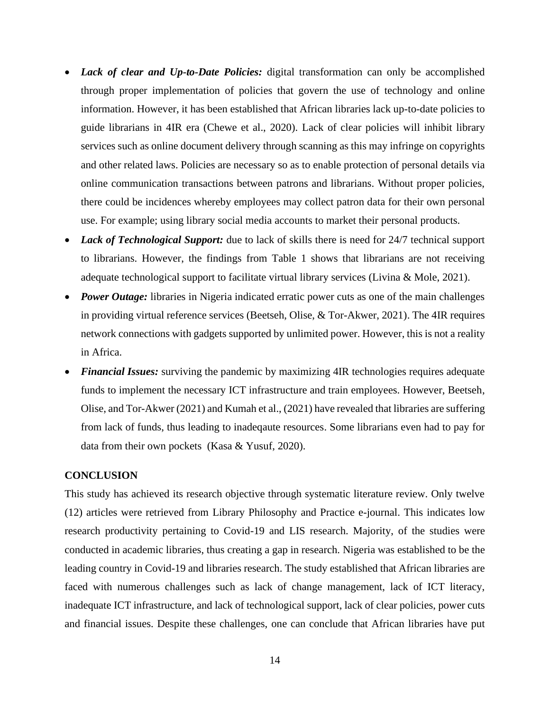- *Lack of clear and Up-to-Date Policies:* digital transformation can only be accomplished through proper implementation of policies that govern the use of technology and online information. However, it has been established that African libraries lack up-to-date policies to guide librarians in 4IR era (Chewe et al., 2020). Lack of clear policies will inhibit library services such as online document delivery through scanning as this may infringe on copyrights and other related laws. Policies are necessary so as to enable protection of personal details via online communication transactions between patrons and librarians. Without proper policies, there could be incidences whereby employees may collect patron data for their own personal use. For example; using library social media accounts to market their personal products.
- **Lack of Technological Support:** due to lack of skills there is need for 24/7 technical support to librarians. However, the findings from Table 1 shows that librarians are not receiving adequate technological support to facilitate virtual library services (Livina & Mole, 2021).
- *Power Outage:* libraries in Nigeria indicated erratic power cuts as one of the main challenges in providing virtual reference services (Beetseh, Olise, & Tor-Akwer, 2021). The 4IR requires network connections with gadgets supported by unlimited power. However, this is not a reality in Africa.
- **Financial Issues:** surviving the pandemic by maximizing 4IR technologies requires adequate funds to implement the necessary ICT infrastructure and train employees. However, Beetseh, Olise, and Tor-Akwer (2021) and Kumah et al., (2021) have revealed that libraries are suffering from lack of funds, thus leading to inadeqaute resources. Some librarians even had to pay for data from their own pockets (Kasa & Yusuf, 2020).

## **CONCLUSION**

This study has achieved its research objective through systematic literature review. Only twelve (12) articles were retrieved from Library Philosophy and Practice e-journal. This indicates low research productivity pertaining to Covid-19 and LIS research. Majority, of the studies were conducted in academic libraries, thus creating a gap in research. Nigeria was established to be the leading country in Covid-19 and libraries research. The study established that African libraries are faced with numerous challenges such as lack of change management, lack of ICT literacy, inadequate ICT infrastructure, and lack of technological support, lack of clear policies, power cuts and financial issues. Despite these challenges, one can conclude that African libraries have put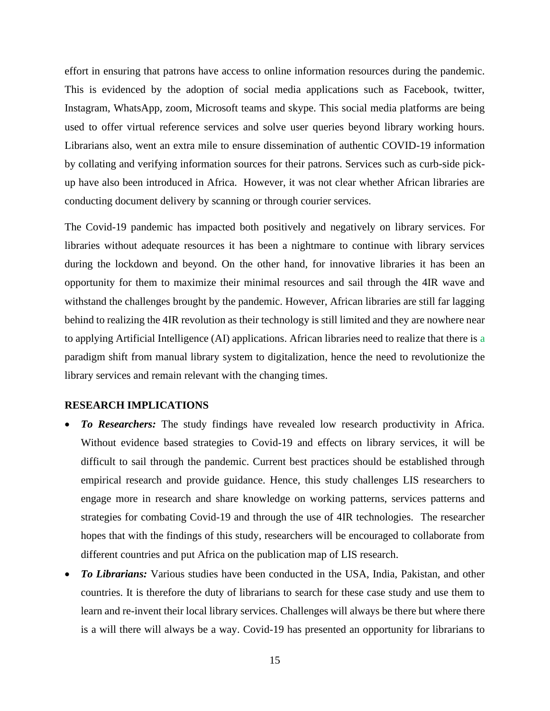effort in ensuring that patrons have access to online information resources during the pandemic. This is evidenced by the adoption of social media applications such as Facebook, twitter, Instagram, WhatsApp, zoom, Microsoft teams and skype. This social media platforms are being used to offer virtual reference services and solve user queries beyond library working hours. Librarians also, went an extra mile to ensure dissemination of authentic COVID-19 information by collating and verifying information sources for their patrons. Services such as curb-side pickup have also been introduced in Africa. However, it was not clear whether African libraries are conducting document delivery by scanning or through courier services.

The Covid-19 pandemic has impacted both positively and negatively on library services. For libraries without adequate resources it has been a nightmare to continue with library services during the lockdown and beyond. On the other hand, for innovative libraries it has been an opportunity for them to maximize their minimal resources and sail through the 4IR wave and withstand the challenges brought by the pandemic. However, African libraries are still far lagging behind to realizing the 4IR revolution as their technology is still limited and they are nowhere near to applying Artificial Intelligence (AI) applications. African libraries need to realize that there is a paradigm shift from manual library system to digitalization, hence the need to revolutionize the library services and remain relevant with the changing times.

## **RESEARCH IMPLICATIONS**

- *To Researchers:* The study findings have revealed low research productivity in Africa. Without evidence based strategies to Covid-19 and effects on library services, it will be difficult to sail through the pandemic. Current best practices should be established through empirical research and provide guidance. Hence, this study challenges LIS researchers to engage more in research and share knowledge on working patterns, services patterns and strategies for combating Covid-19 and through the use of 4IR technologies. The researcher hopes that with the findings of this study, researchers will be encouraged to collaborate from different countries and put Africa on the publication map of LIS research.
- *To Librarians:* Various studies have been conducted in the USA, India, Pakistan, and other countries. It is therefore the duty of librarians to search for these case study and use them to learn and re-invent their local library services. Challenges will always be there but where there is a will there will always be a way. Covid-19 has presented an opportunity for librarians to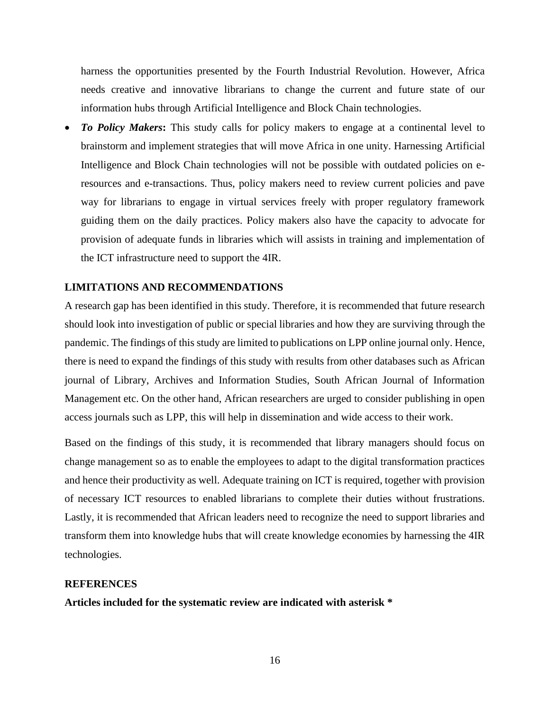harness the opportunities presented by the Fourth Industrial Revolution. However, Africa needs creative and innovative librarians to change the current and future state of our information hubs through Artificial Intelligence and Block Chain technologies.

• *To Policy Makers*: This study calls for policy makers to engage at a continental level to brainstorm and implement strategies that will move Africa in one unity. Harnessing Artificial Intelligence and Block Chain technologies will not be possible with outdated policies on eresources and e-transactions. Thus, policy makers need to review current policies and pave way for librarians to engage in virtual services freely with proper regulatory framework guiding them on the daily practices. Policy makers also have the capacity to advocate for provision of adequate funds in libraries which will assists in training and implementation of the ICT infrastructure need to support the 4IR.

### **LIMITATIONS AND RECOMMENDATIONS**

A research gap has been identified in this study. Therefore, it is recommended that future research should look into investigation of public or special libraries and how they are surviving through the pandemic. The findings of this study are limited to publications on LPP online journal only. Hence, there is need to expand the findings of this study with results from other databases such as African journal of Library, Archives and Information Studies, South African Journal of Information Management etc. On the other hand, African researchers are urged to consider publishing in open access journals such as LPP, this will help in dissemination and wide access to their work.

Based on the findings of this study, it is recommended that library managers should focus on change management so as to enable the employees to adapt to the digital transformation practices and hence their productivity as well. Adequate training on ICT is required, together with provision of necessary ICT resources to enabled librarians to complete their duties without frustrations. Lastly, it is recommended that African leaders need to recognize the need to support libraries and transform them into knowledge hubs that will create knowledge economies by harnessing the 4IR technologies.

#### **REFERENCES**

**Articles included for the systematic review are indicated with asterisk \***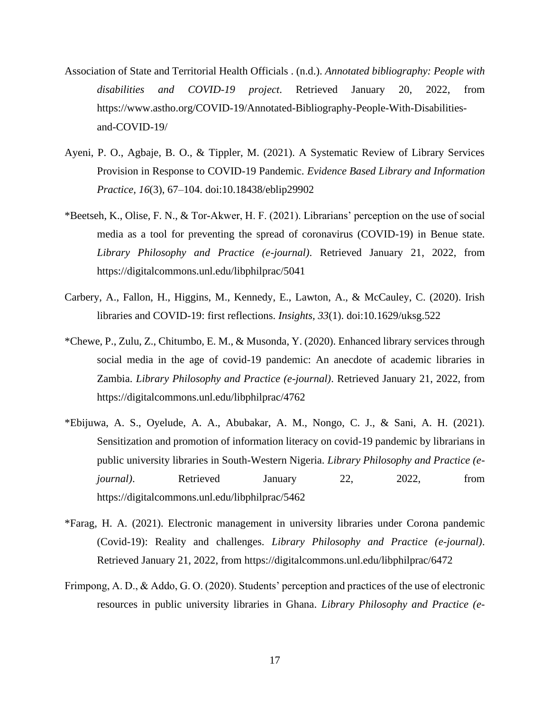- Association of State and Territorial Health Officials . (n.d.). *Annotated bibliography: People with disabilities and COVID-19 project*. Retrieved January 20, 2022, from https://www.astho.org/COVID-19/Annotated-Bibliography-People-With-Disabilitiesand-COVID-19/
- Ayeni, P. O., Agbaje, B. O., & Tippler, M. (2021). A Systematic Review of Library Services Provision in Response to COVID-19 Pandemic. *Evidence Based Library and Information Practice, 16*(3), 67–104. doi:10.18438/eblip29902
- \*Beetseh, K., Olise, F. N., & Tor-Akwer, H. F. (2021). Librarians' perception on the use of social media as a tool for preventing the spread of coronavirus (COVID-19) in Benue state. *Library Philosophy and Practice (e-journal)*. Retrieved January 21, 2022, from https://digitalcommons.unl.edu/libphilprac/5041
- Carbery, A., Fallon, H., Higgins, M., Kennedy, E., Lawton, A., & McCauley, C. (2020). Irish libraries and COVID-19: first reflections. *Insights, 33*(1). doi:10.1629/uksg.522
- \*Chewe, P., Zulu, Z., Chitumbo, E. M., & Musonda, Y. (2020). Enhanced library services through social media in the age of covid-19 pandemic: An anecdote of academic libraries in Zambia. *Library Philosophy and Practice (e-journal)*. Retrieved January 21, 2022, from https://digitalcommons.unl.edu/libphilprac/4762
- \*Ebijuwa, A. S., Oyelude, A. A., Abubakar, A. M., Nongo, C. J., & Sani, A. H. (2021). Sensitization and promotion of information literacy on covid-19 pandemic by librarians in public university libraries in South-Western Nigeria. *Library Philosophy and Practice (ejournal)*. Retrieved January 22, 2022, from https://digitalcommons.unl.edu/libphilprac/5462
- \*Farag, H. A. (2021). Electronic management in university libraries under Corona pandemic (Covid-19): Reality and challenges. *Library Philosophy and Practice (e-journal)*. Retrieved January 21, 2022, from https://digitalcommons.unl.edu/libphilprac/6472
- Frimpong, A. D., & Addo, G. O. (2020). Students' perception and practices of the use of electronic resources in public university libraries in Ghana. *Library Philosophy and Practice (e-*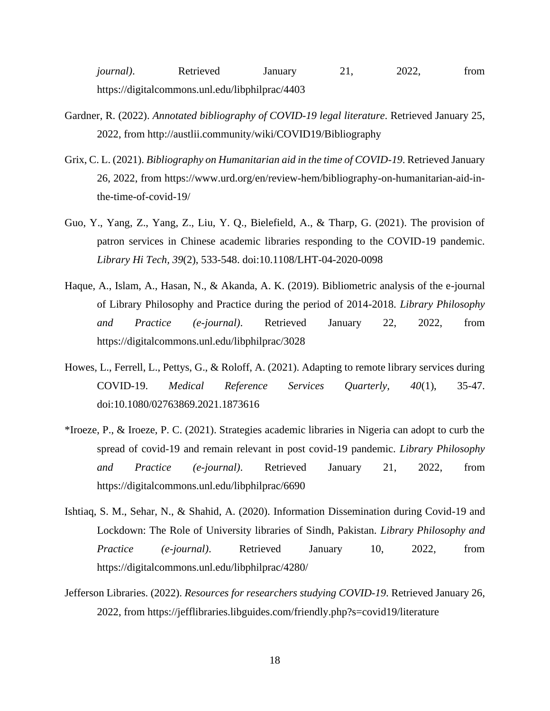*journal*). Retrieved January 21, 2022, from https://digitalcommons.unl.edu/libphilprac/4403

- Gardner, R. (2022). *Annotated bibliography of COVID-19 legal literature*. Retrieved January 25, 2022, from http://austlii.community/wiki/COVID19/Bibliography
- Grix, C. L. (2021). *Bibliography on Humanitarian aid in the time of COVID-19*. Retrieved January 26, 2022, from https://www.urd.org/en/review-hem/bibliography-on-humanitarian-aid-inthe-time-of-covid-19/
- Guo, Y., Yang, Z., Yang, Z., Liu, Y. Q., Bielefield, A., & Tharp, G. (2021). The provision of patron services in Chinese academic libraries responding to the COVID-19 pandemic. *Library Hi Tech, 39*(2), 533-548. doi:10.1108/LHT-04-2020-0098
- Haque, A., Islam, A., Hasan, N., & Akanda, A. K. (2019). Bibliometric analysis of the e-journal of Library Philosophy and Practice during the period of 2014-2018. *Library Philosophy and Practice (e-journal)*. Retrieved January 22, 2022, from https://digitalcommons.unl.edu/libphilprac/3028
- Howes, L., Ferrell, L., Pettys, G., & Roloff, A. (2021). Adapting to remote library services during COVID-19. *Medical Reference Services Quarterly, 40*(1), 35-47. doi:10.1080/02763869.2021.1873616
- \*Iroeze, P., & Iroeze, P. C. (2021). Strategies academic libraries in Nigeria can adopt to curb the spread of covid-19 and remain relevant in post covid-19 pandemic. *Library Philosophy and Practice (e-journal)*. Retrieved January 21, 2022, from https://digitalcommons.unl.edu/libphilprac/6690
- Ishtiaq, S. M., Sehar, N., & Shahid, A. (2020). Information Dissemination during Covid-19 and Lockdown: The Role of University libraries of Sindh, Pakistan. *Library Philosophy and Practice (e-journal)*. Retrieved January 10, 2022, from https://digitalcommons.unl.edu/libphilprac/4280/
- Jefferson Libraries. (2022). *Resources for researchers studying COVID-19*. Retrieved January 26, 2022, from https://jefflibraries.libguides.com/friendly.php?s=covid19/literature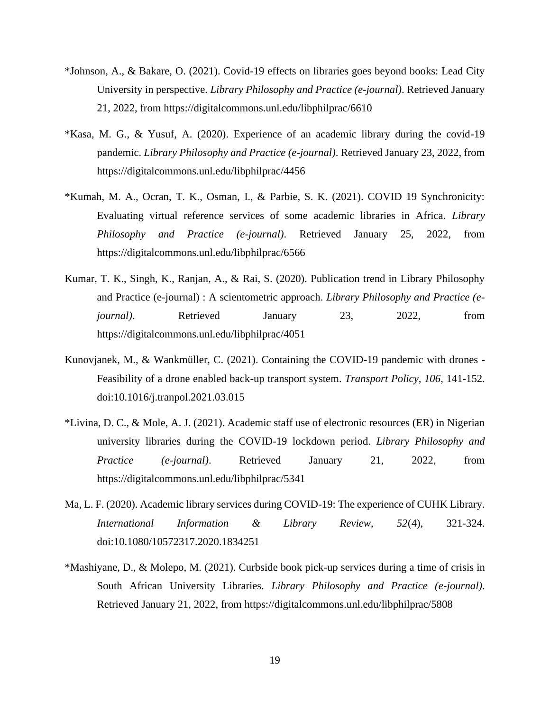- \*Johnson, A., & Bakare, O. (2021). Covid-19 effects on libraries goes beyond books: Lead City University in perspective. *Library Philosophy and Practice (e-journal)*. Retrieved January 21, 2022, from https://digitalcommons.unl.edu/libphilprac/6610
- \*Kasa, M. G., & Yusuf, A. (2020). Experience of an academic library during the covid-19 pandemic. *Library Philosophy and Practice (e-journal)*. Retrieved January 23, 2022, from https://digitalcommons.unl.edu/libphilprac/4456
- \*Kumah, M. A., Ocran, T. K., Osman, I., & Parbie, S. K. (2021). COVID 19 Synchronicity: Evaluating virtual reference services of some academic libraries in Africa. *Library Philosophy and Practice (e-journal)*. Retrieved January 25, 2022, from https://digitalcommons.unl.edu/libphilprac/6566
- Kumar, T. K., Singh, K., Ranjan, A., & Rai, S. (2020). Publication trend in Library Philosophy and Practice (e-journal) : A scientometric approach. *Library Philosophy and Practice (ejournal)*. Retrieved January 23, 2022, from https://digitalcommons.unl.edu/libphilprac/4051
- Kunovjanek, M., & Wankmüller, C. (2021). Containing the COVID-19 pandemic with drones Feasibility of a drone enabled back-up transport system. *Transport Policy, 106*, 141-152. doi:10.1016/j.tranpol.2021.03.015
- \*Livina, D. C., & Mole, A. J. (2021). Academic staff use of electronic resources (ER) in Nigerian university libraries during the COVID-19 lockdown period. *Library Philosophy and Practice (e-journal)*. Retrieved January 21, 2022, from https://digitalcommons.unl.edu/libphilprac/5341
- Ma, L. F. (2020). Academic library services during COVID-19: The experience of CUHK Library. *International Information & Library Review, 52*(4), 321-324. doi:10.1080/10572317.2020.1834251
- \*Mashiyane, D., & Molepo, M. (2021). Curbside book pick-up services during a time of crisis in South African University Libraries. *Library Philosophy and Practice (e-journal)*. Retrieved January 21, 2022, from https://digitalcommons.unl.edu/libphilprac/5808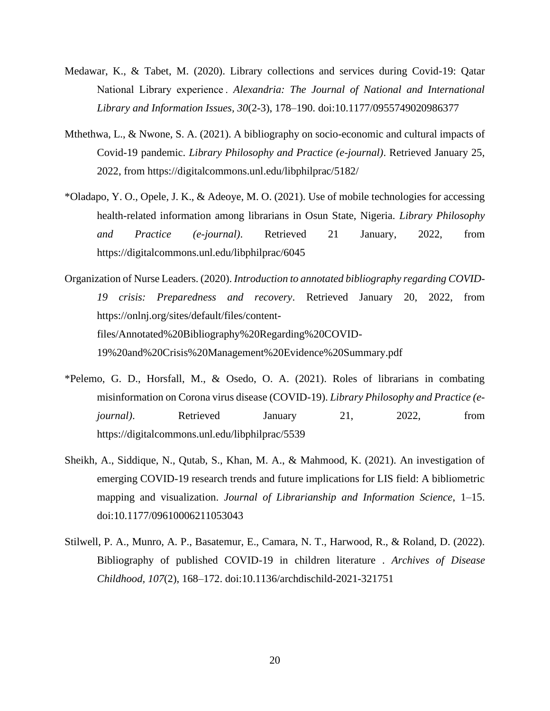- Medawar, K., & Tabet, M. (2020). Library collections and services during Covid-19: Qatar National Library experience . *Alexandria: The Journal of National and International Library and Information Issues, 30*(2-3), 178–190. doi:10.1177/0955749020986377
- Mthethwa, L., & Nwone, S. A. (2021). A bibliography on socio-economic and cultural impacts of Covid-19 pandemic. *Library Philosophy and Practice (e-journal)*. Retrieved January 25, 2022, from https://digitalcommons.unl.edu/libphilprac/5182/
- \*Oladapo, Y. O., Opele, J. K., & Adeoye, M. O. (2021). Use of mobile technologies for accessing health-related information among librarians in Osun State, Nigeria. *Library Philosophy and Practice (e-journal)*. Retrieved 21 January, 2022, from https://digitalcommons.unl.edu/libphilprac/6045

Organization of Nurse Leaders. (2020). *Introduction to annotated bibliography regarding COVID-19 crisis: Preparedness and recovery*. Retrieved January 20, 2022, from https://onlnj.org/sites/default/files/contentfiles/Annotated%20Bibliography%20Regarding%20COVID-19%20and%20Crisis%20Management%20Evidence%20Summary.pdf

- \*Pelemo, G. D., Horsfall, M., & Osedo, O. A. (2021). Roles of librarians in combating misinformation on Corona virus disease (COVID-19). *Library Philosophy and Practice (ejournal*). Retrieved January 21, 2022, from https://digitalcommons.unl.edu/libphilprac/5539
- Sheikh, A., Siddique, N., Qutab, S., Khan, M. A., & Mahmood, K. (2021). An investigation of emerging COVID-19 research trends and future implications for LIS field: A bibliometric mapping and visualization. *Journal of Librarianship and Information Science*, 1–15. doi:10.1177/09610006211053043
- Stilwell, P. A., Munro, A. P., Basatemur, E., Camara, N. T., Harwood, R., & Roland, D. (2022). Bibliography of published COVID-19 in children literature . *Archives of Disease Childhood, 107*(2), 168–172. doi:10.1136/archdischild-2021-321751